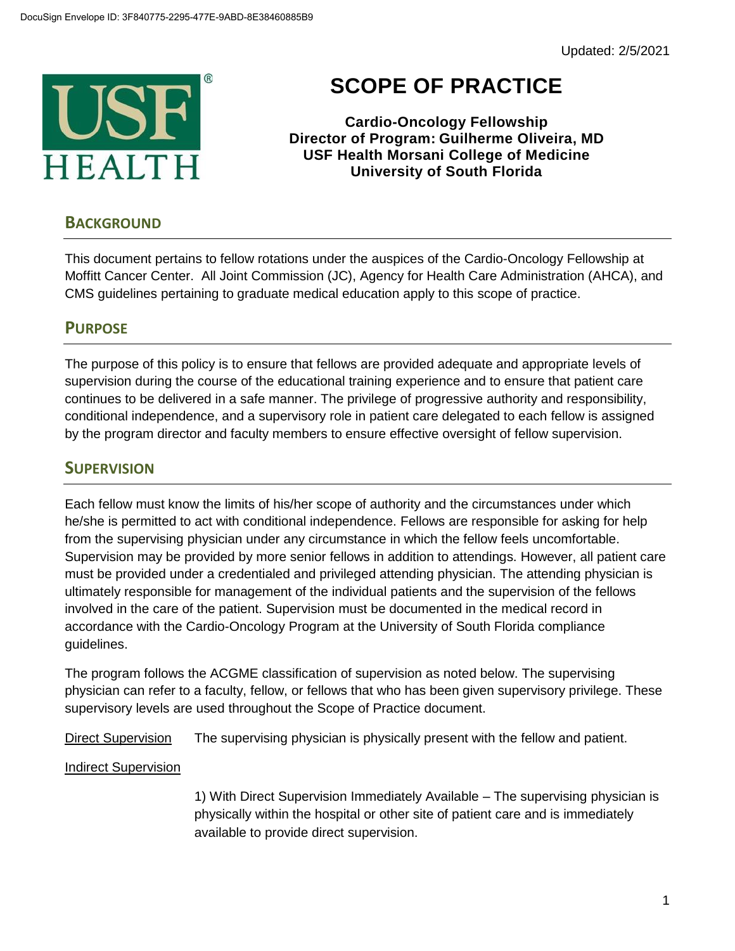

# **SCOPE OF PRACTICE**

**Cardio-Oncology Fellowship Director of Program: Guilherme Oliveira, MD USF Health Morsani College of Medicine University of South Florida**

## **BACKGROUND**

This document pertains to fellow rotations under the auspices of the Cardio-Oncology Fellowship at Moffitt Cancer Center. All Joint Commission (JC), Agency for Health Care Administration (AHCA), and CMS guidelines pertaining to graduate medical education apply to this scope of practice.

# **PURPOSE**

The purpose of this policy is to ensure that fellows are provided adequate and appropriate levels of supervision during the course of the educational training experience and to ensure that patient care continues to be delivered in a safe manner. The privilege of progressive authority and responsibility, conditional independence, and a supervisory role in patient care delegated to each fellow is assigned by the program director and faculty members to ensure effective oversight of fellow supervision.

## **SUPERVISION**

Each fellow must know the limits of his/her scope of authority and the circumstances under which he/she is permitted to act with conditional independence. Fellows are responsible for asking for help from the supervising physician under any circumstance in which the fellow feels uncomfortable. Supervision may be provided by more senior fellows in addition to attendings. However, all patient care must be provided under a credentialed and privileged attending physician. The attending physician is ultimately responsible for management of the individual patients and the supervision of the fellows involved in the care of the patient. Supervision must be documented in the medical record in accordance with the Cardio-Oncology Program at the University of South Florida compliance guidelines.

The program follows the ACGME classification of supervision as noted below. The supervising physician can refer to a faculty, fellow, or fellows that who has been given supervisory privilege. These supervisory levels are used throughout the Scope of Practice document.

Direct Supervision The supervising physician is physically present with the fellow and patient.

#### Indirect Supervision

1) With Direct Supervision Immediately Available – The supervising physician is physically within the hospital or other site of patient care and is immediately available to provide direct supervision.